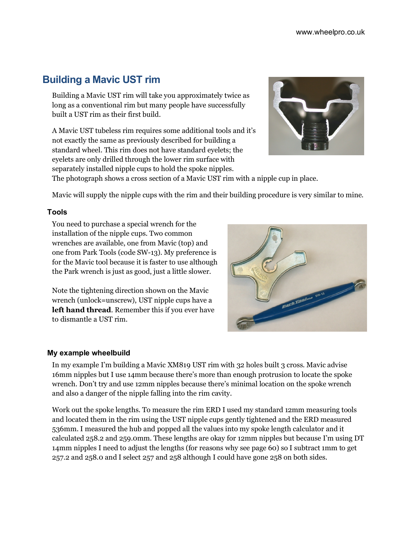# **Building a Mavic UST rim**

Building a Mavic UST rim will take you approximately twice as long as a conventional rim but many people have successfully built a UST rim as their first build.

A Mavic UST tubeless rim requires some additional tools and it's not exactly the same as previously described for building a standard wheel. This rim does not have standard eyelets; the eyelets are only drilled through the lower rim surface with separately installed nipple cups to hold the spoke nipples.



The photograph shows a cross section of a Mavic UST rim with a nipple cup in place.

Mavic will supply the nipple cups with the rim and their building procedure is very similar to mine.

# **Tools**

You need to purchase a special wrench for the installation of the nipple cups. Two common wrenches are available, one from Mavic (top) and one from Park Tools (code SW-13). My preference is for the Mavic tool because it is faster to use although the Park wrench is just as good, just a little slower.

Note the tightening direction shown on the Mavic wrench (unlock=unscrew), UST nipple cups have a **left hand thread**. Remember this if you ever have to dismantle a UST rim.



## **My example wheelbuild**

In my example I'm building a Mavic XM819 UST rim with 32 holes built 3 cross. Mavic advise 16mm nipples but I use 14mm because there's more than enough protrusion to locate the spoke wrench. Don't try and use 12mm nipples because there's minimal location on the spoke wrench and also a danger of the nipple falling into the rim cavity.

Work out the spoke lengths. To measure the rim ERD I used my standard 12mm measuring tools and located them in the rim using the UST nipple cups gently tightened and the ERD measured 536mm. I measured the hub and popped all the values into my spoke length calculator and it calculated 258.2 and 259.0mm. These lengths are okay for 12mm nipples but because I'm using DT 14mm nipples I need to adjust the lengths (for reasons why see page 60) so I subtract 1mm to get 257.2 and 258.0 and I select 257 and 258 although I could have gone 258 on both sides.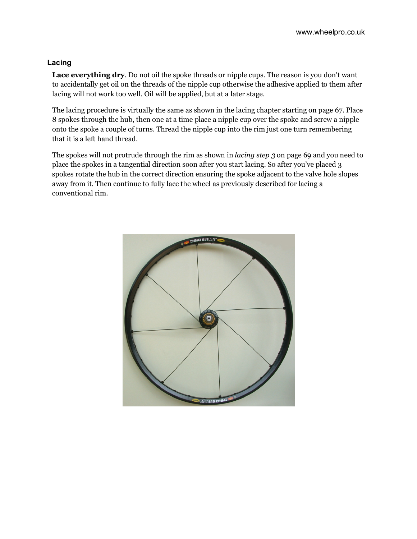# **Lacing**

**Lace everything dry**. Do not oil the spoke threads or nipple cups. The reason is you don't want to accidentally get oil on the threads of the nipple cup otherwise the adhesive applied to them after lacing will not work too well. Oil will be applied, but at a later stage.

The lacing procedure is virtually the same as shown in the lacing chapter starting on page 67. Place 8 spokes through the hub, then one at a time place a nipple cup over the spoke and screw a nipple onto the spoke a couple of turns. Thread the nipple cup into the rim just one turn remembering that it is a left hand thread.

The spokes will not protrude through the rim as shown in *lacing step 3* on page 69 and you need to place the spokes in a tangential direction soon after you start lacing. So after you've placed 3 spokes rotate the hub in the correct direction ensuring the spoke adjacent to the valve hole slopes away from it. Then continue to fully lace the wheel as previously described for lacing a conventional rim.

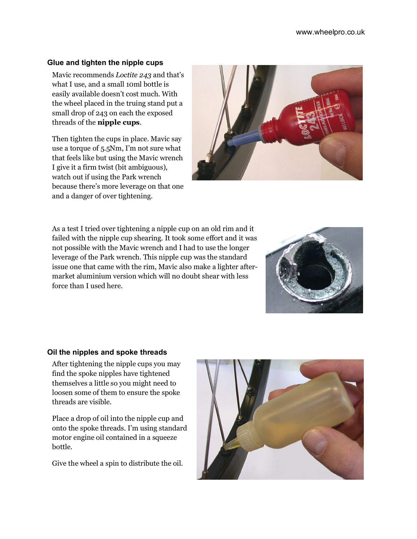## **Glue and tighten the nipple cups**

Mavic recommends *Loctite 243* and that's what I use, and a small 10ml bottle is easily available doesn't cost much. With the wheel placed in the truing stand put a small drop of 243 on each the exposed threads of the **nipple cups**.

Then tighten the cups in place. Mavic say use a torque of 5.5Nm, I'm not sure what that feels like but using the Mavic wrench I give it a firm twist (bit ambiguous), watch out if using the Park wrench because there's more leverage on that one and a danger of over tightening.



As a test I tried over tightening a nipple cup on an old rim and it failed with the nipple cup shearing. It took some effort and it was not possible with the Mavic wrench and I had to use the longer leverage of the Park wrench. This nipple cup was the standard issue one that came with the rim, Mavic also make a lighter aftermarket aluminium version which will no doubt shear with less force than I used here.



## **Oil the nipples and spoke threads**

After tightening the nipple cups you may find the spoke nipples have tightened themselves a little so you might need to loosen some of them to ensure the spoke threads are visible.

Place a drop of oil into the nipple cup and onto the spoke threads. I'm using standard motor engine oil contained in a squeeze bottle.

Give the wheel a spin to distribute the oil.